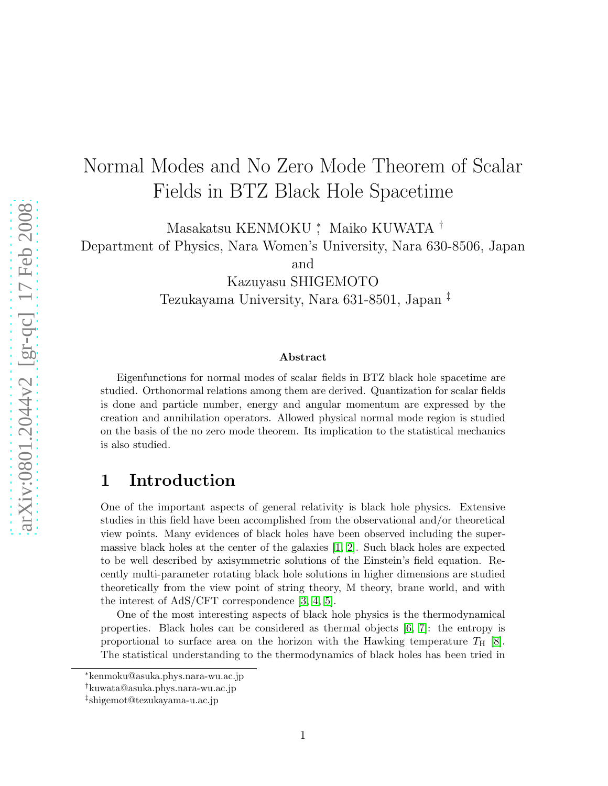# Normal Modes and No Zero Mode Theorem of Scalar Fields in BTZ Black Hole Spacetime

Masakatsu KENMOKU <sup>∗</sup> , Maiko KUWATA † Department of Physics, Nara Women's University, Nara 630-8506, Japan

and

Kazuyasu SHIGEMOTO

Tezukayama University, Nara 631-8501, Japan ‡

#### Abstract

Eigenfunctions for normal modes of scalar fields in BTZ black hole spacetime are studied. Orthonormal relations among them are derived. Quantization for scalar fields is done and particle number, energy and angular momentum are expressed by the creation and annihilation operators. Allowed physical normal mode region is studied on the basis of the no zero mode theorem. Its implication to the statistical mechanics is also studied.

### 1 Introduction

One of the important aspects of general relativity is black hole physics. Extensive studies in this field have been accomplished from the observational and/or theoretical view points. Many evidences of black holes have been observed including the supermassive black holes at the center of the galaxies [\[1,](#page-9-0) [2\]](#page-9-1). Such black holes are expected to be well described by axisymmetric solutions of the Einstein's field equation. Recently multi-parameter rotating black hole solutions in higher dimensions are studied theoretically from the view point of string theory, M theory, brane world, and with the interest of AdS/CFT correspondence [\[3,](#page-9-2) [4,](#page-9-3) [5\]](#page-9-4).

One of the most interesting aspects of black hole physics is the thermodynamical properties. Black holes can be considered as thermal objects [\[6,](#page-9-5) [7\]](#page-9-6): the entropy is proportional to surface area on the horizon with the Hawking temperature  $T_H$  [\[8\]](#page-9-7). The statistical understanding to the thermodynamics of black holes has been tried in

<sup>∗</sup>kenmoku@asuka.phys.nara-wu.ac.jp

<sup>†</sup>kuwata@asuka.phys.nara-wu.ac.jp

<sup>‡</sup> shigemot@tezukayama-u.ac.jp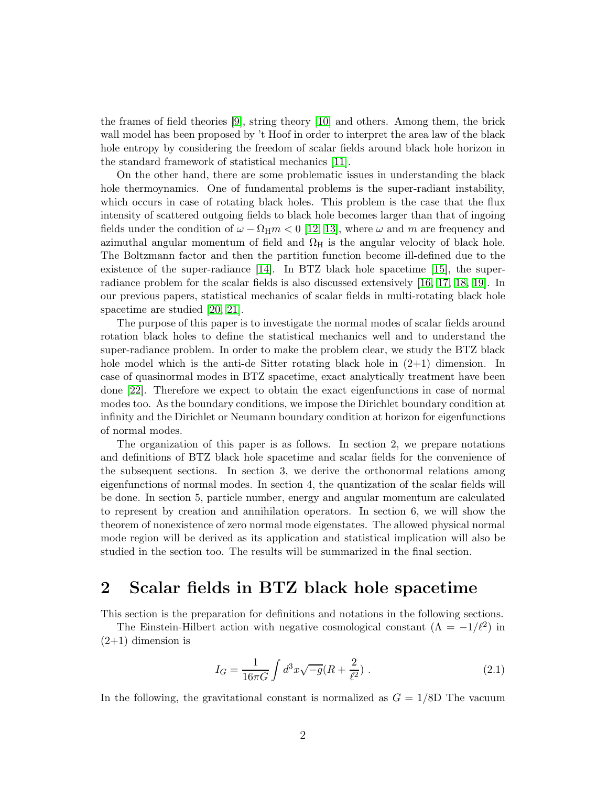the frames of field theories [\[9\]](#page-9-8), string theory [\[10\]](#page-9-9) and others. Among them, the brick wall model has been proposed by 't Hoof in order to interpret the area law of the black hole entropy by considering the freedom of scalar fields around black hole horizon in the standard framework of statistical mechanics [\[11\]](#page-9-10).

On the other hand, there are some problematic issues in understanding the black hole thermoynamics. One of fundamental problems is the super-radiant instability, which occurs in case of rotating black holes. This problem is the case that the flux intensity of scattered outgoing fields to black hole becomes larger than that of ingoing fields under the condition of  $\omega - \Omega_H m < 0$  [\[12,](#page-9-11) [13\]](#page-9-12), where  $\omega$  and m are frequency and azimuthal angular momentum of field and  $\Omega_H$  is the angular velocity of black hole. The Boltzmann factor and then the partition function become ill-defined due to the existence of the super-radiance  $[14]$ . In BTZ black hole spacetime  $[15]$ , the superradiance problem for the scalar fields is also discussed extensively [\[16,](#page-9-15) [17,](#page-9-16) [18,](#page-9-17) [19\]](#page-9-18). In our previous papers, statistical mechanics of scalar fields in multi-rotating black hole spacetime are studied [\[20,](#page-9-19) [21\]](#page-9-20).

The purpose of this paper is to investigate the normal modes of scalar fields around rotation black holes to define the statistical mechanics well and to understand the super-radiance problem. In order to make the problem clear, we study the BTZ black hole model which is the anti-de Sitter rotating black hole in  $(2+1)$  dimension. In case of quasinormal modes in BTZ spacetime, exact analytically treatment have been done [\[22\]](#page-9-21). Therefore we expect to obtain the exact eigenfunctions in case of normal modes too. As the boundary conditions, we impose the Dirichlet boundary condition at infinity and the Dirichlet or Neumann boundary condition at horizon for eigenfunctions of normal modes.

The organization of this paper is as follows. In section 2, we prepare notations and definitions of BTZ black hole spacetime and scalar fields for the convenience of the subsequent sections. In section 3, we derive the orthonormal relations among eigenfunctions of normal modes. In section 4, the quantization of the scalar fields will be done. In section 5, particle number, energy and angular momentum are calculated to represent by creation and annihilation operators. In section 6, we will show the theorem of nonexistence of zero normal mode eigenstates. The allowed physical normal mode region will be derived as its application and statistical implication will also be studied in the section too. The results will be summarized in the final section.

### 2 Scalar fields in BTZ black hole spacetime

This section is the preparation for definitions and notations in the following sections.

The Einstein-Hilbert action with negative cosmological constant  $(\Lambda = -1/\ell^2)$  in  $(2+1)$  dimension is

$$
I_G = \frac{1}{16\pi G} \int d^3x \sqrt{-g} (R + \frac{2}{\ell^2}) \ . \tag{2.1}
$$

In the following, the gravitational constant is normalized as  $G = 1/8D$  The vacuum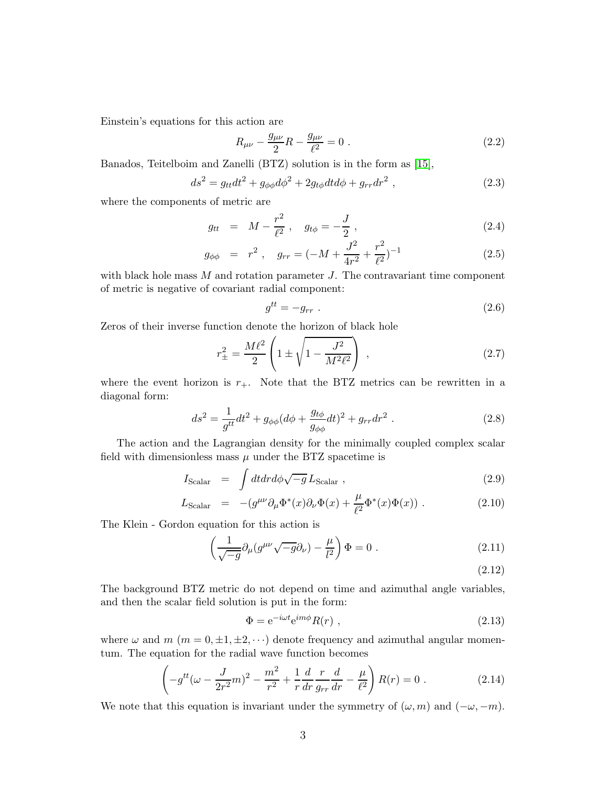Einstein's equations for this action are

$$
R_{\mu\nu} - \frac{g_{\mu\nu}}{2}R - \frac{g_{\mu\nu}}{\ell^2} = 0.
$$
 (2.2)

Banados, Teitelboim and Zanelli (BTZ) solution is in the form as [\[15\]](#page-9-14),

$$
ds^{2} = g_{tt}dt^{2} + g_{\phi\phi}d\phi^{2} + 2g_{t\phi}dtd\phi + g_{rr}dr^{2} , \qquad (2.3)
$$

where the components of metric are

$$
g_{tt} = M - \frac{r^2}{\ell^2}, \quad g_{t\phi} = -\frac{J}{2}, \qquad (2.4)
$$

$$
g_{\phi\phi} = r^2, \quad g_{rr} = (-M + \frac{J^2}{4r^2} + \frac{r^2}{\ell^2})^{-1}
$$
 (2.5)

with black hole mass  $M$  and rotation parameter  $J$ . The contravariant time component of metric is negative of covariant radial component:

$$
g^{tt} = -g_{rr} \tag{2.6}
$$

Zeros of their inverse function denote the horizon of black hole

$$
r_{\pm}^2 = \frac{M\ell^2}{2} \left( 1 \pm \sqrt{1 - \frac{J^2}{M^2 \ell^2}} \right) , \qquad (2.7)
$$

where the event horizon is  $r_{+}$ . Note that the BTZ metrics can be rewritten in a diagonal form:

$$
ds^{2} = \frac{1}{g^{tt}}dt^{2} + g_{\phi\phi}(d\phi + \frac{g_{t\phi}}{g_{\phi\phi}}dt)^{2} + g_{rr}dr^{2}.
$$
 (2.8)

The action and the Lagrangian density for the minimally coupled complex scalar field with dimensionless mass  $\mu$  under the BTZ spacetime is

$$
I_{\text{Scalar}} = \int dt dr d\phi \sqrt{-g} L_{\text{Scalar}} , \qquad (2.9)
$$

$$
L_{\text{Scalar}} = -(g^{\mu\nu}\partial_{\mu}\Phi^*(x)\partial_{\nu}\Phi(x) + \frac{\mu}{\ell^2}\Phi^*(x)\Phi(x)). \qquad (2.10)
$$

The Klein - Gordon equation for this action is

$$
\left(\frac{1}{\sqrt{-g}}\partial_{\mu}(g^{\mu\nu}\sqrt{-g}\partial_{\nu}) - \frac{\mu}{l^2}\right)\Phi = 0.
$$
\n(2.11)

(2.12)

The background BTZ metric do not depend on time and azimuthal angle variables, and then the scalar field solution is put in the form:

$$
\Phi = e^{-i\omega t} e^{im\phi} R(r) , \qquad (2.13)
$$

where  $\omega$  and  $m$  ( $m = 0, \pm 1, \pm 2, \cdots$ ) denote frequency and azimuthal angular momentum. The equation for the radial wave function becomes

$$
\left(-g^{tt}(\omega - \frac{J}{2r^2}m)^2 - \frac{m^2}{r^2} + \frac{1}{r}\frac{d}{dr}\frac{r}{g_{rr}}\frac{d}{dr} - \frac{\mu}{\ell^2}\right)R(r) = 0.
$$
 (2.14)

We note that this equation is invariant under the symmetry of  $(\omega, m)$  and  $(-\omega, -m)$ .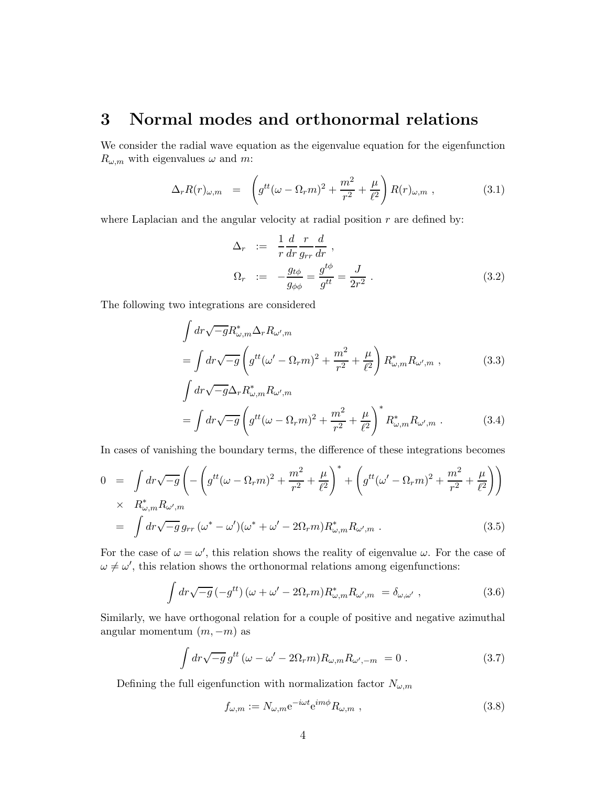### 3 Normal modes and orthonormal relations

We consider the radial wave equation as the eigenvalue equation for the eigenfunction  $R_{\omega,m}$  with eigenvalues  $\omega$  and m:

$$
\Delta_r R(r)_{\omega,m} = \left( g^{tt} (\omega - \Omega_r m)^2 + \frac{m^2}{r^2} + \frac{\mu}{\ell^2} \right) R(r)_{\omega,m} , \qquad (3.1)
$$

where Laplacian and the angular velocity at radial position  $r$  are defined by:

$$
\Delta_r := \frac{1}{r} \frac{d}{dr} \frac{r}{g_{rr}} \frac{d}{dr},
$$
\n
$$
\Omega_r := -\frac{g_{t\phi}}{g_{\phi\phi}} = \frac{g^{t\phi}}{g^{tt}} = \frac{J}{2r^2}.
$$
\n(3.2)

The following two integrations are considered

$$
\int dr \sqrt{-g} R^*_{\omega,m} \Delta_r R_{\omega',m}
$$
\n
$$
= \int dr \sqrt{-g} \left( g^{tt} (\omega' - \Omega_r m)^2 + \frac{m^2}{r^2} + \frac{\mu}{\ell^2} \right) R^*_{\omega,m} R_{\omega',m} ,
$$
\n
$$
\int dr \sqrt{-g} \Delta_r R^*_{\omega,m} R_{\omega',m}
$$
\n(3.3)

$$
= \int dr \sqrt{-g} \left( g^{tt} (\omega - \Omega_r m)^2 + \frac{m^2}{r^2} + \frac{\mu}{\ell^2} \right)^* R^*_{\omega, m} R_{\omega', m} . \tag{3.4}
$$

In cases of vanishing the boundary terms, the difference of these integrations becomes

$$
0 = \int dr \sqrt{-g} \left( -\left( g^{tt} (\omega - \Omega_r m)^2 + \frac{m^2}{r^2} + \frac{\mu}{\ell^2} \right)^* + \left( g^{tt} (\omega' - \Omega_r m)^2 + \frac{m^2}{r^2} + \frac{\mu}{\ell^2} \right) \right)
$$
  
 
$$
\times R^*_{\omega, m} R_{\omega', m}
$$
  
= 
$$
\int dr \sqrt{-g} g_{rr} (\omega^* - \omega') (\omega^* + \omega' - 2\Omega_r m) R^*_{\omega, m} R_{\omega', m} .
$$
 (3.5)

For the case of  $\omega = \omega'$ , this relation shows the reality of eigenvalue  $\omega$ . For the case of  $\omega \neq \omega'$ , this relation shows the orthonormal relations among eigenfunctions:

$$
\int dr \sqrt{-g} \left(-g^{tt}\right) (\omega + \omega' - 2\Omega_r m) R_{\omega,m}^* R_{\omega',m} = \delta_{\omega,\omega'} , \qquad (3.6)
$$

Similarly, we have orthogonal relation for a couple of positive and negative azimuthal angular momentum  $(m, -m)$  as

$$
\int dr \sqrt{-g} \, g^{tt} \left( \omega - \omega' - 2\Omega_r m \right) R_{\omega, m} R_{\omega', -m} = 0 \; . \tag{3.7}
$$

Defining the full eigenfunction with normalization factor  $N_{\omega,m}$ 

$$
f_{\omega,m} := N_{\omega,m} e^{-i\omega t} e^{im\phi} R_{\omega,m} , \qquad (3.8)
$$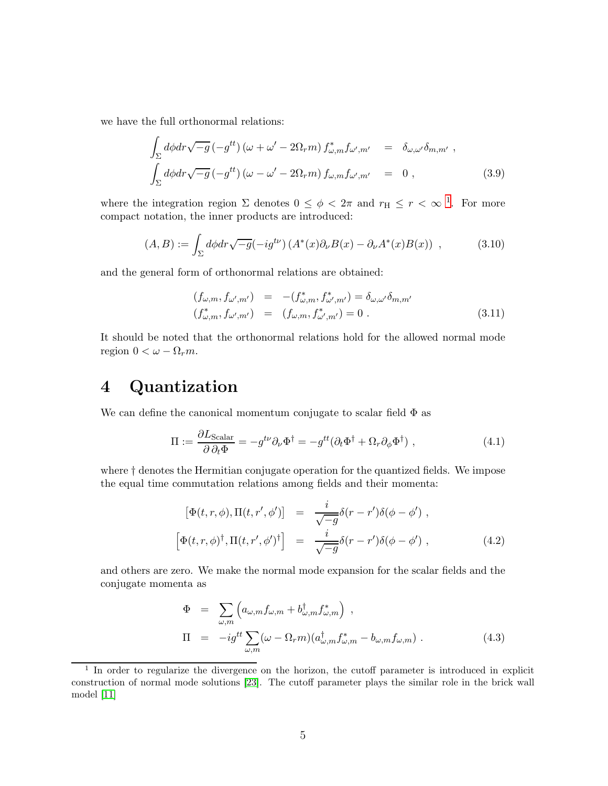we have the full orthonormal relations:

$$
\int_{\Sigma} d\phi dr \sqrt{-g} \left( -g^{tt} \right) \left( \omega + \omega' - 2\Omega_r m \right) f_{\omega,m}^* f_{\omega',m'} = \delta_{\omega,\omega'} \delta_{m,m'} ,
$$
\n
$$
\int_{\Sigma} d\phi dr \sqrt{-g} \left( -g^{tt} \right) \left( \omega - \omega' - 2\Omega_r m \right) f_{\omega,m} f_{\omega',m'} = 0 ,
$$
\n(3.9)

where the integration region  $\Sigma$  denotes  $0 \leq \phi < 2\pi$  and  $r_H \leq r < \infty$ <sup>[1](#page-4-0)</sup>. For more compact notation, the inner products are introduced:

$$
(A,B) := \int_{\Sigma} d\phi dr \sqrt{-g} (-ig^{t\nu}) \left( A^*(x) \partial_{\nu} B(x) - \partial_{\nu} A^*(x) B(x) \right) , \qquad (3.10)
$$

and the general form of orthonormal relations are obtained:

$$
(f_{\omega,m}, f_{\omega',m'}) = -(f_{\omega,m}^*, f_{\omega',m'}^*) = \delta_{\omega,\omega'}\delta_{m,m'}
$$
  

$$
(f_{\omega,m}^*, f_{\omega',m'}) = (f_{\omega,m}, f_{\omega',m'}^*) = 0.
$$
 (3.11)

It should be noted that the orthonormal relations hold for the allowed normal mode region  $0 < \omega - \Omega_r m$ .

### 4 Quantization

We can define the canonical momentum conjugate to scalar field  $\Phi$  as

$$
\Pi := \frac{\partial L_{\text{Scalar}}}{\partial \partial_t \Phi} = -g^{t\nu} \partial_\nu \Phi^\dagger = -g^{tt} (\partial_t \Phi^\dagger + \Omega_r \partial_\phi \Phi^\dagger) , \qquad (4.1)
$$

where † denotes the Hermitian conjugate operation for the quantized fields. We impose the equal time commutation relations among fields and their momenta:

$$
\begin{bmatrix} \Phi(t,r,\phi), \Pi(t,r',\phi') \end{bmatrix} = \frac{i}{\sqrt{-g}} \delta(r-r')\delta(\phi-\phi') ,
$$
  

$$
\begin{bmatrix} \Phi(t,r,\phi)^{\dagger}, \Pi(t,r',\phi')^{\dagger} \end{bmatrix} = \frac{i}{\sqrt{-g}} \delta(r-r')\delta(\phi-\phi') ,
$$
 (4.2)

and others are zero. We make the normal mode expansion for the scalar fields and the conjugate momenta as

$$
\Phi = \sum_{\omega,m} \left( a_{\omega,m} f_{\omega,m} + b_{\omega,m}^{\dagger} f_{\omega,m}^* \right) ,
$$
  
\n
$$
\Pi = -ig^{tt} \sum_{\omega,m} (\omega - \Omega_r m) (a_{\omega,m}^{\dagger} f_{\omega,m}^* - b_{\omega,m} f_{\omega,m}) .
$$
\n(4.3)

<span id="page-4-0"></span><sup>&</sup>lt;sup>1</sup> In order to regularize the divergence on the horizon, the cutoff parameter is introduced in explicit construction of normal mode solutions [\[23\]](#page-10-0). The cutoff parameter plays the similar role in the brick wall model [\[11\]](#page-9-10)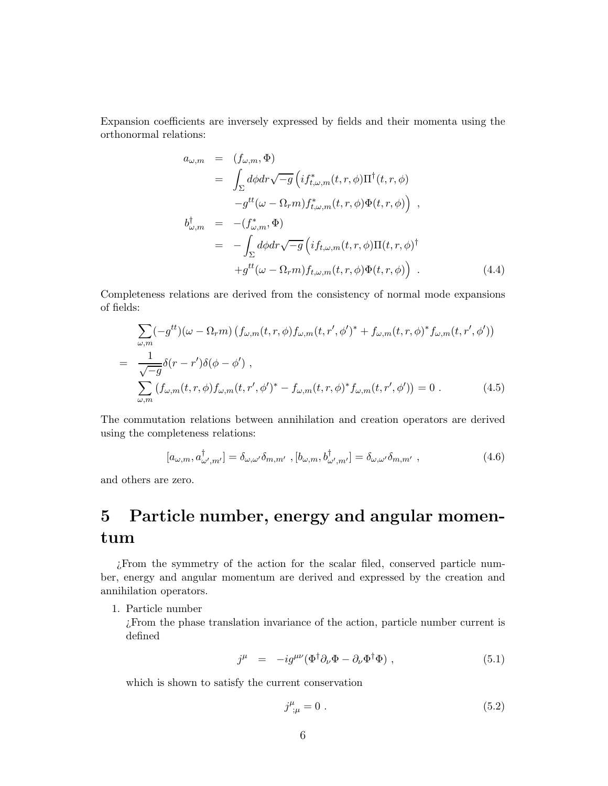Expansion coefficients are inversely expressed by fields and their momenta using the orthonormal relations:

$$
a_{\omega,m} = (f_{\omega,m}, \Phi)
$$
  
\n
$$
= \int_{\Sigma} d\phi dr \sqrt{-g} \left( i f_{t,\omega,m}^*(t, r, \phi) \Pi^{\dagger}(t, r, \phi) -g^{tt}(\omega - \Omega_r m) f_{t,\omega,m}^*(t, r, \phi) \Phi(t, r, \phi) \right) ,
$$
  
\n
$$
b_{\omega,m}^{\dagger} = -(f_{\omega,m}^*, \Phi)
$$
  
\n
$$
= -\int_{\Sigma} d\phi dr \sqrt{-g} \left( i f_{t,\omega,m}(t, r, \phi) \Pi(t, r, \phi) \right) + g^{tt}(\omega - \Omega_r m) f_{t,\omega,m}(t, r, \phi) \Phi(t, r, \phi) \right) .
$$
 (4.4)

Completeness relations are derived from the consistency of normal mode expansions of fields:

$$
\sum_{\omega,m} (-g^{tt})(\omega - \Omega_r m) (f_{\omega,m}(t,r,\phi) f_{\omega,m}(t,r',\phi')^* + f_{\omega,m}(t,r,\phi)^* f_{\omega,m}(t,r',\phi'))
$$
\n
$$
= \frac{1}{\sqrt{-g}} \delta(r-r')\delta(\phi-\phi'),
$$
\n
$$
\sum_{\omega,m} (f_{\omega,m}(t,r,\phi) f_{\omega,m}(t,r',\phi')^* - f_{\omega,m}(t,r,\phi)^* f_{\omega,m}(t,r',\phi')) = 0.
$$
\n(4.5)

The commutation relations between annihilation and creation operators are derived using the completeness relations:

$$
[a_{\omega,m}, a^{\dagger}_{\omega',m'}] = \delta_{\omega,\omega'}\delta_{m,m'} , [b_{\omega,m}, b^{\dagger}_{\omega',m'}] = \delta_{\omega,\omega'}\delta_{m,m'} ,
$$
\n(4.6)

and others are zero.

## 5 Particle number, energy and angular momentum

¿From the symmetry of the action for the scalar filed, conserved particle number, energy and angular momentum are derived and expressed by the creation and annihilation operators.

1. Particle number

¿From the phase translation invariance of the action, particle number current is defined

$$
j^{\mu} = -ig^{\mu\nu}(\Phi^{\dagger}\partial_{\nu}\Phi - \partial_{\nu}\Phi^{\dagger}\Phi) , \qquad (5.1)
$$

which is shown to satisfy the current conservation

$$
j^{\mu}_{;\mu} = 0 \tag{5.2}
$$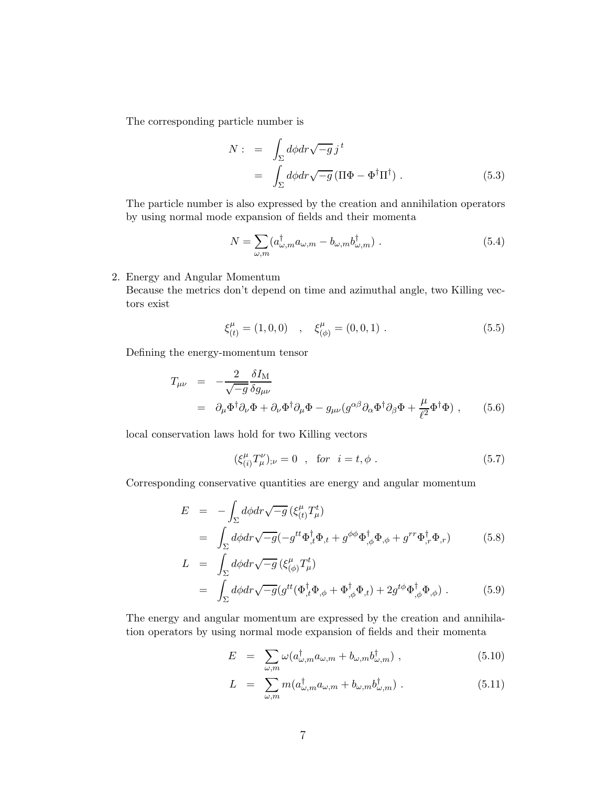The corresponding particle number is

$$
N: = \int_{\Sigma} d\phi dr \sqrt{-g} j^t
$$
  
= 
$$
\int_{\Sigma} d\phi dr \sqrt{-g} (\Pi \Phi - \Phi^{\dagger} \Pi^{\dagger}).
$$
 (5.3)

The particle number is also expressed by the creation and annihilation operators by using normal mode expansion of fields and their momenta

$$
N = \sum_{\omega,m} (a_{\omega,m}^{\dagger} a_{\omega,m} - b_{\omega,m} b_{\omega,m}^{\dagger}). \tag{5.4}
$$

2. Energy and Angular Momentum

Because the metrics don't depend on time and azimuthal angle, two Killing vectors exist

$$
\xi_{(t)}^{\mu} = (1,0,0) \quad , \quad \xi_{(\phi)}^{\mu} = (0,0,1) \quad . \tag{5.5}
$$

Defining the energy-momentum tensor

$$
T_{\mu\nu} = -\frac{2}{\sqrt{-g}} \frac{\delta I_M}{\delta g_{\mu\nu}}
$$
  
=  $\partial_{\mu} \Phi^{\dagger} \partial_{\nu} \Phi + \partial_{\nu} \Phi^{\dagger} \partial_{\mu} \Phi - g_{\mu\nu} (g^{\alpha \beta} \partial_{\alpha} \Phi^{\dagger} \partial_{\beta} \Phi + \frac{\mu}{\ell^2} \Phi^{\dagger} \Phi) ,$  (5.6)

local conservation laws hold for two Killing vectors

$$
(\xi_{(i)}^{\mu}T_{\mu}^{\nu})_{;\nu} = 0 \quad , \quad \text{for} \quad i = t, \phi \; . \tag{5.7}
$$

Corresponding conservative quantities are energy and angular momentum

$$
E = -\int_{\Sigma} d\phi dr \sqrt{-g} \left( \xi_{(t)}^{\mu} T_{\mu}^{t} \right)
$$
  

$$
= \int_{\Sigma} d\phi dr \sqrt{-g} \left( -g^{tt} \Phi_{,t}^{\dagger} \Phi_{,t} + g^{\phi \phi} \Phi_{, \phi}^{\dagger} \Phi_{, \phi} + g^{rr} \Phi_{,r}^{\dagger} \Phi_{,r} \right)
$$
(5.8)

$$
L = \int_{\Sigma} d\phi dr \sqrt{-g} \left( \xi^{\mu}_{(\phi)} T^t_{\mu} \right)
$$
  
= 
$$
\int_{\Sigma} d\phi dr \sqrt{-g} \left( g^{tt} (\Phi^{\dagger}_{,t} \Phi_{,\phi} + \Phi^{\dagger}_{,\phi} \Phi_{,t}) + 2g^{t\phi} \Phi^{\dagger}_{,\phi} \Phi_{,\phi} \right).
$$
 (5.9)

The energy and angular momentum are expressed by the creation and annihilation operators by using normal mode expansion of fields and their momenta

$$
E = \sum_{\omega,m} \omega(a_{\omega,m}^{\dagger} a_{\omega,m} + b_{\omega,m} b_{\omega,m}^{\dagger}), \qquad (5.10)
$$

$$
L = \sum_{\omega,m} m(a_{\omega,m}^\dagger a_{\omega,m} + b_{\omega,m} b_{\omega,m}^\dagger).
$$
 (5.11)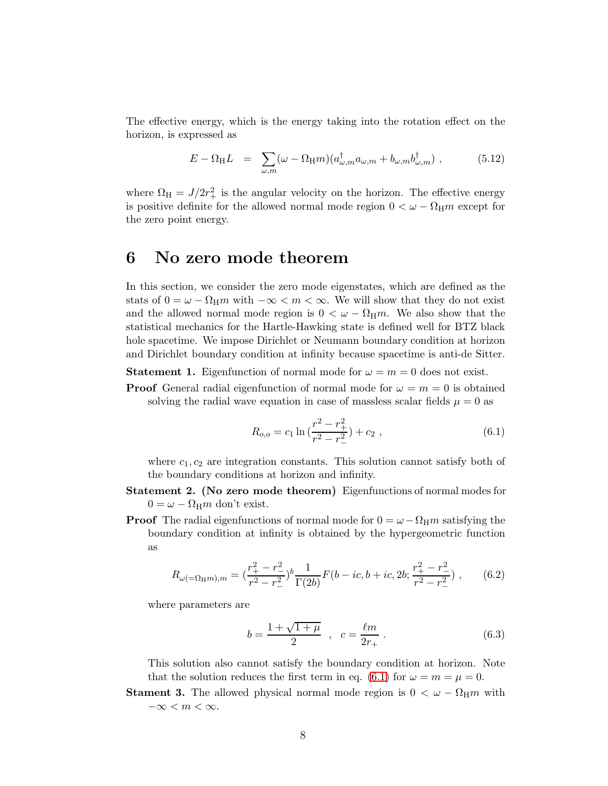The effective energy, which is the energy taking into the rotation effect on the horizon, is expressed as

<span id="page-7-1"></span>
$$
E - \Omega_{\rm H} L = \sum_{\omega,m} (\omega - \Omega_{\rm H} m) (a_{\omega,m}^{\dagger} a_{\omega,m} + b_{\omega,m} b_{\omega,m}^{\dagger}), \qquad (5.12)
$$

where  $\Omega_{\rm H} = J/2r_+^2$  is the angular velocity on the horizon. The effective energy is positive definite for the allowed normal mode region  $0 < \omega - \Omega_{\rm H} m$  except for the zero point energy.

### 6 No zero mode theorem

In this section, we consider the zero mode eigenstates, which are defined as the stats of  $0 = \omega - \Omega_H m$  with  $-\infty < m < \infty$ . We will show that they do not exist and the allowed normal mode region is  $0 < \omega - \Omega_H m$ . We also show that the statistical mechanics for the Hartle-Hawking state is defined well for BTZ black hole spacetime. We impose Dirichlet or Neumann boundary condition at horizon and Dirichlet boundary condition at infinity because spacetime is anti-de Sitter.

**Statement 1.** Eigenfunction of normal mode for  $\omega = m = 0$  does not exist.

**Proof** General radial eigenfunction of normal mode for  $\omega = m = 0$  is obtained solving the radial wave equation in case of massless scalar fields  $\mu = 0$  as

<span id="page-7-0"></span>
$$
R_{o,o} = c_1 \ln \left( \frac{r^2 - r_+^2}{r^2 - r_-^2} \right) + c_2 , \qquad (6.1)
$$

where  $c_1, c_2$  are integration constants. This solution cannot satisfy both of the boundary conditions at horizon and infinity.

- Statement 2. (No zero mode theorem) Eigenfunctions of normal modes for  $0 = \omega - \Omega_{\rm H} m$  don't exist.
- **Proof** The radial eigenfunctions of normal mode for  $0 = \omega \Omega_H m$  satisfying the boundary condition at infinity is obtained by the hypergeometric function as

$$
R_{\omega(=\Omega_{\rm H}m),m} = \left(\frac{r_+^2 - r_-^2}{r^2 - r_-^2}\right)^b \frac{1}{\Gamma(2b)} F(b - ic, b + ic, 2b; \frac{r_+^2 - r_-^2}{r^2 - r_-^2})\,,\qquad(6.2)
$$

where parameters are

$$
b = \frac{1 + \sqrt{1 + \mu}}{2} , \quad c = \frac{\ell m}{2r_+} . \tag{6.3}
$$

This solution also cannot satisfy the boundary condition at horizon. Note that the solution reduces the first term in eq. [\(6.1\)](#page-7-0) for  $\omega = m = \mu = 0$ .

**Stament 3.** The allowed physical normal mode region is  $0 < \omega - \Omega_H m$  with  $-\infty < m < \infty$ .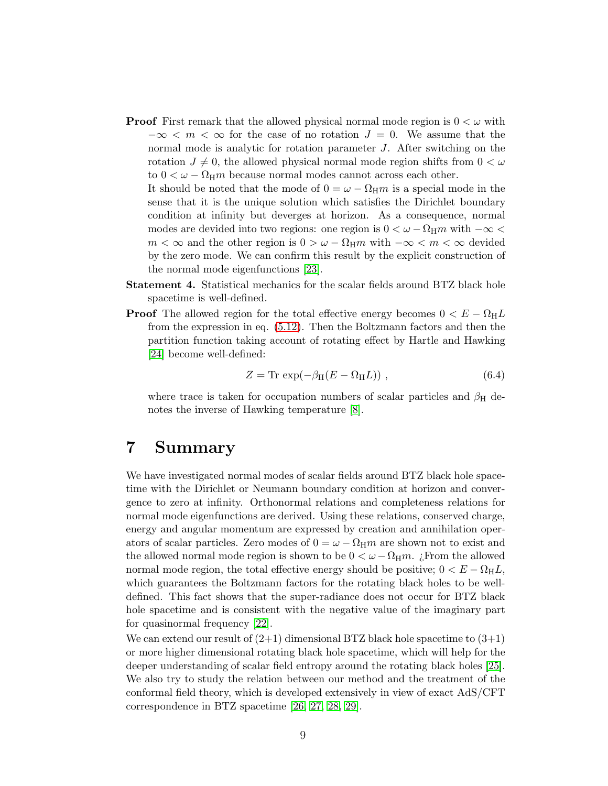**Proof** First remark that the allowed physical normal mode region is  $0 < \omega$  with  $-\infty < m < \infty$  for the case of no rotation  $J = 0$ . We assume that the normal mode is analytic for rotation parameter J. After switching on the rotation  $J \neq 0$ , the allowed physical normal mode region shifts from  $0 < \omega$ to  $0 < \omega - \Omega_{\rm H} m$  because normal modes cannot across each other.

It should be noted that the mode of  $0 = \omega - \Omega_H m$  is a special mode in the sense that it is the unique solution which satisfies the Dirichlet boundary condition at infinity but deverges at horizon. As a consequence, normal modes are devided into two regions: one region is  $0 < \omega - \Omega_H m$  with  $-\infty <$  $m < \infty$  and the other region is  $0 > \omega - \Omega_H m$  with  $-\infty < m < \infty$  devided by the zero mode. We can confirm this result by the explicit construction of the normal mode eigenfunctions [\[23\]](#page-10-0).

- Statement 4. Statistical mechanics for the scalar fields around BTZ black hole spacetime is well-defined.
- **Proof** The allowed region for the total effective energy becomes  $0 < E \Omega_H L$ from the expression in eq. [\(5.12\)](#page-7-1). Then the Boltzmann factors and then the partition function taking account of rotating effect by Hartle and Hawking [\[24\]](#page-10-1) become well-defined:

$$
Z = \text{Tr} \, \exp(-\beta_{\text{H}}(E - \Omega_{\text{H}}L)) \,, \tag{6.4}
$$

where trace is taken for occupation numbers of scalar particles and  $\beta_H$  denotes the inverse of Hawking temperature [\[8\]](#page-9-7).

### 7 Summary

We have investigated normal modes of scalar fields around BTZ black hole spacetime with the Dirichlet or Neumann boundary condition at horizon and convergence to zero at infinity. Orthonormal relations and completeness relations for normal mode eigenfunctions are derived. Using these relations, conserved charge, energy and angular momentum are expressed by creation and annihilation operators of scalar particles. Zero modes of  $0 = \omega - \Omega_H m$  are shown not to exist and the allowed normal mode region is shown to be  $0 < \omega - \Omega_H m$ . ¿From the allowed normal mode region, the total effective energy should be positive;  $0 < E - \Omega_H L$ , which guarantees the Boltzmann factors for the rotating black holes to be welldefined. This fact shows that the super-radiance does not occur for BTZ black hole spacetime and is consistent with the negative value of the imaginary part for quasinormal frequency [\[22\]](#page-9-21).

We can extend our result of  $(2+1)$  dimensional BTZ black hole spacetime to  $(3+1)$ or more higher dimensional rotating black hole spacetime, which will help for the deeper understanding of scalar field entropy around the rotating black holes [\[25\]](#page-10-2). We also try to study the relation between our method and the treatment of the conformal field theory, which is developed extensively in view of exact AdS/CFT correspondence in BTZ spacetime [\[26,](#page-10-3) [27,](#page-10-4) [28,](#page-10-5) [29\]](#page-10-6).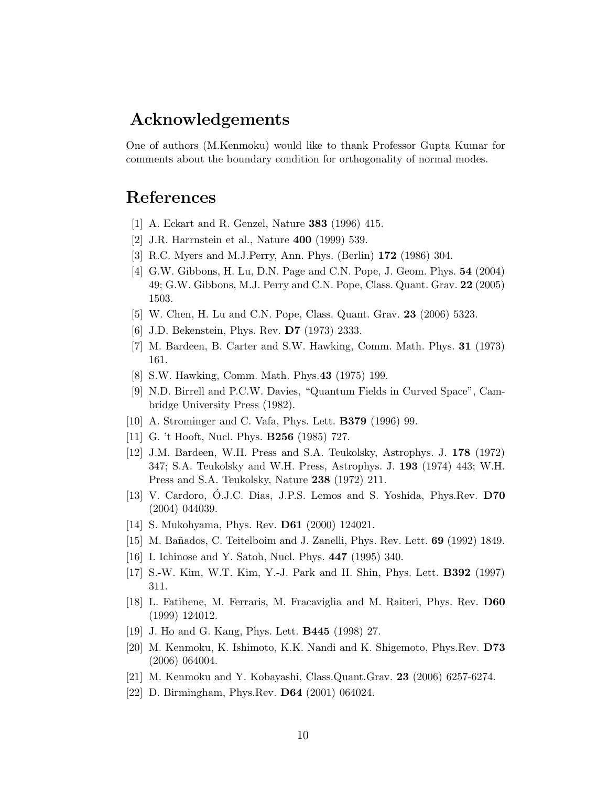### Acknowledgements

One of authors (M.Kenmoku) would like to thank Professor Gupta Kumar for comments about the boundary condition for orthogonality of normal modes.

### <span id="page-9-0"></span>References

- <span id="page-9-1"></span>[1] A. Eckart and R. Genzel, Nature 383 (1996) 415.
- <span id="page-9-2"></span>[2] J.R. Harrnstein et al., Nature 400 (1999) 539.
- <span id="page-9-3"></span>[3] R.C. Myers and M.J.Perry, Ann. Phys. (Berlin) 172 (1986) 304.
- [4] G.W. Gibbons, H. Lu, D.N. Page and C.N. Pope, J. Geom. Phys. 54 (2004) 49; G.W. Gibbons, M.J. Perry and C.N. Pope, Class. Quant. Grav. 22 (2005) 1503.
- <span id="page-9-5"></span><span id="page-9-4"></span>[5] W. Chen, H. Lu and C.N. Pope, Class. Quant. Grav. 23 (2006) 5323.
- <span id="page-9-6"></span>[6] J.D. Bekenstein, Phys. Rev. **D7** (1973) 2333.
- <span id="page-9-7"></span>[7] M. Bardeen, B. Carter and S.W. Hawking, Comm. Math. Phys. 31 (1973) 161.
- <span id="page-9-8"></span>[8] S.W. Hawking, Comm. Math. Phys.43 (1975) 199.
- [9] N.D. Birrell and P.C.W. Davies, "Quantum Fields in Curved Space", Cambridge University Press (1982).
- <span id="page-9-10"></span><span id="page-9-9"></span>[10] A. Strominger and C. Vafa, Phys. Lett. B379 (1996) 99.
- <span id="page-9-11"></span>[11] G. 't Hooft, Nucl. Phys. B256 (1985) 727.
- [12] J.M. Bardeen, W.H. Press and S.A. Teukolsky, Astrophys. J. 178 (1972) 347; S.A. Teukolsky and W.H. Press, Astrophys. J. 193 (1974) 443; W.H. Press and S.A. Teukolsky, Nature 238 (1972) 211.
- <span id="page-9-12"></span>[13] V. Cardoro, O.J.C. Dias, J.P.S. Lemos and S. Yoshida, Phys.Rev. D70 (2004) 044039.
- <span id="page-9-14"></span><span id="page-9-13"></span>[14] S. Mukohyama, Phys. Rev. D61 (2000) 124021.
- <span id="page-9-15"></span>[15] M. Bañados, C. Teitelboim and J. Zanelli, Phys. Rev. Lett. 69 (1992) 1849.
- <span id="page-9-16"></span>[16] I. Ichinose and Y. Satoh, Nucl. Phys. 447 (1995) 340.
- <span id="page-9-17"></span>[17] S.-W. Kim, W.T. Kim, Y.-J. Park and H. Shin, Phys. Lett. B392 (1997) 311.
- [18] L. Fatibene, M. Ferraris, M. Fracaviglia and M. Raiteri, Phys. Rev. D60 (1999) 124012.
- <span id="page-9-19"></span><span id="page-9-18"></span>[19] J. Ho and G. Kang, Phys. Lett. B445 (1998) 27.
- [20] M. Kenmoku, K. Ishimoto, K.K. Nandi and K. Shigemoto, Phys.Rev. D73 (2006) 064004.
- <span id="page-9-21"></span><span id="page-9-20"></span>[21] M. Kenmoku and Y. Kobayashi, Class.Quant.Grav. 23 (2006) 6257-6274.
- [22] D. Birmingham, Phys.Rev. D64 (2001) 064024.